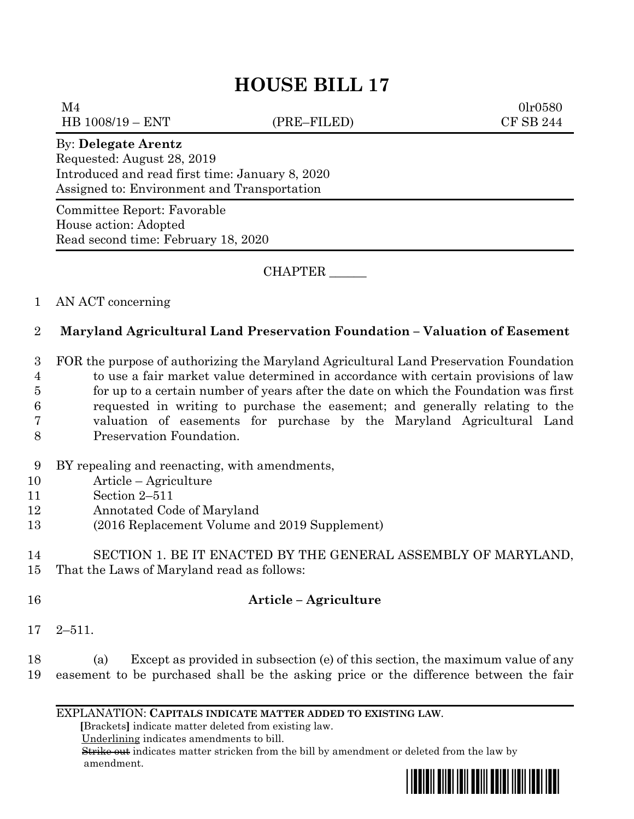# **HOUSE BILL 17**

 $M4$  0lr0580 HB 1008/19 – ENT (PRE–FILED) CF SB 244

#### By: **Delegate Arentz**

Requested: August 28, 2019 Introduced and read first time: January 8, 2020 Assigned to: Environment and Transportation

Committee Report: Favorable House action: Adopted Read second time: February 18, 2020

CHAPTER \_\_\_\_\_\_

### 1 AN ACT concerning

## 2 **Maryland Agricultural Land Preservation Foundation – Valuation of Easement**

 FOR the purpose of authorizing the Maryland Agricultural Land Preservation Foundation to use a fair market value determined in accordance with certain provisions of law for up to a certain number of years after the date on which the Foundation was first requested in writing to purchase the easement; and generally relating to the valuation of easements for purchase by the Maryland Agricultural Land Preservation Foundation.

- 9 BY repealing and reenacting, with amendments,
- 10 Article Agriculture
- 11 Section 2–511
- 12 Annotated Code of Maryland
- 13 (2016 Replacement Volume and 2019 Supplement)

14 SECTION 1. BE IT ENACTED BY THE GENERAL ASSEMBLY OF MARYLAND, 15 That the Laws of Maryland read as follows:

- 16 **Article – Agriculture**
- 17 2–511.

18 (a) Except as provided in subsection (e) of this section, the maximum value of any 19 easement to be purchased shall be the asking price or the difference between the fair

EXPLANATION: **CAPITALS INDICATE MATTER ADDED TO EXISTING LAW**.

 **[**Brackets**]** indicate matter deleted from existing law.

Underlining indicates amendments to bill.

 Strike out indicates matter stricken from the bill by amendment or deleted from the law by amendment.

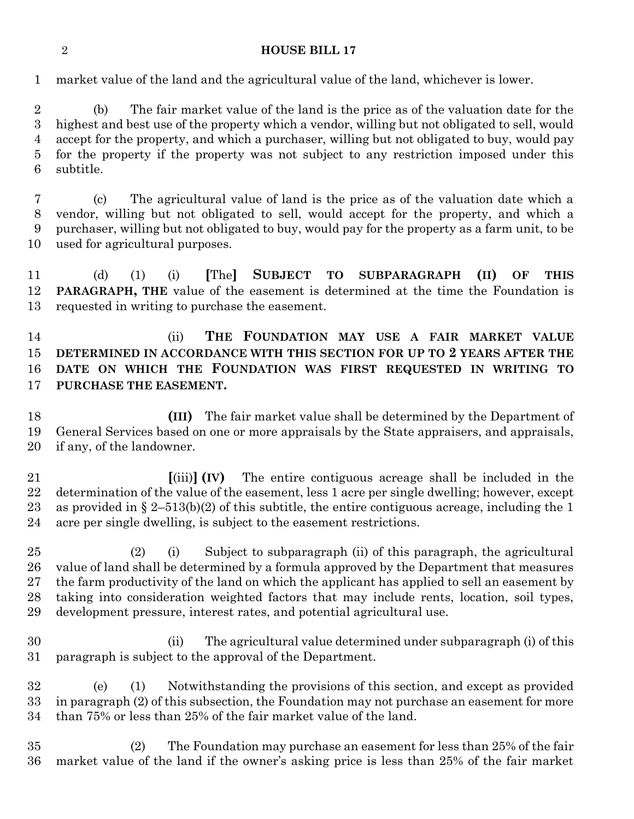#### **HOUSE BILL 17**

market value of the land and the agricultural value of the land, whichever is lower.

 (b) The fair market value of the land is the price as of the valuation date for the highest and best use of the property which a vendor, willing but not obligated to sell, would accept for the property, and which a purchaser, willing but not obligated to buy, would pay for the property if the property was not subject to any restriction imposed under this subtitle.

 (c) The agricultural value of land is the price as of the valuation date which a vendor, willing but not obligated to sell, would accept for the property, and which a purchaser, willing but not obligated to buy, would pay for the property as a farm unit, to be used for agricultural purposes.

 (d) (1) (i) **[**The**] SUBJECT TO SUBPARAGRAPH (II) OF THIS PARAGRAPH, THE** value of the easement is determined at the time the Foundation is requested in writing to purchase the easement.

 (ii) **THE FOUNDATION MAY USE A FAIR MARKET VALUE DETERMINED IN ACCORDANCE WITH THIS SECTION FOR UP TO 2 YEARS AFTER THE DATE ON WHICH THE FOUNDATION WAS FIRST REQUESTED IN WRITING TO PURCHASE THE EASEMENT.**

 **(III)** The fair market value shall be determined by the Department of General Services based on one or more appraisals by the State appraisers, and appraisals, if any, of the landowner.

 **[**(iii)**] (IV)** The entire contiguous acreage shall be included in the determination of the value of the easement, less 1 acre per single dwelling; however, except 23 as provided in  $\S 2-513(b)(2)$  of this subtitle, the entire contiguous acreage, including the 1 acre per single dwelling, is subject to the easement restrictions.

 (2) (i) Subject to subparagraph (ii) of this paragraph, the agricultural value of land shall be determined by a formula approved by the Department that measures the farm productivity of the land on which the applicant has applied to sell an easement by taking into consideration weighted factors that may include rents, location, soil types, development pressure, interest rates, and potential agricultural use.

 (ii) The agricultural value determined under subparagraph (i) of this paragraph is subject to the approval of the Department.

 (e) (1) Notwithstanding the provisions of this section, and except as provided in paragraph (2) of this subsection, the Foundation may not purchase an easement for more than 75% or less than 25% of the fair market value of the land.

 (2) The Foundation may purchase an easement for less than 25% of the fair market value of the land if the owner's asking price is less than 25% of the fair market